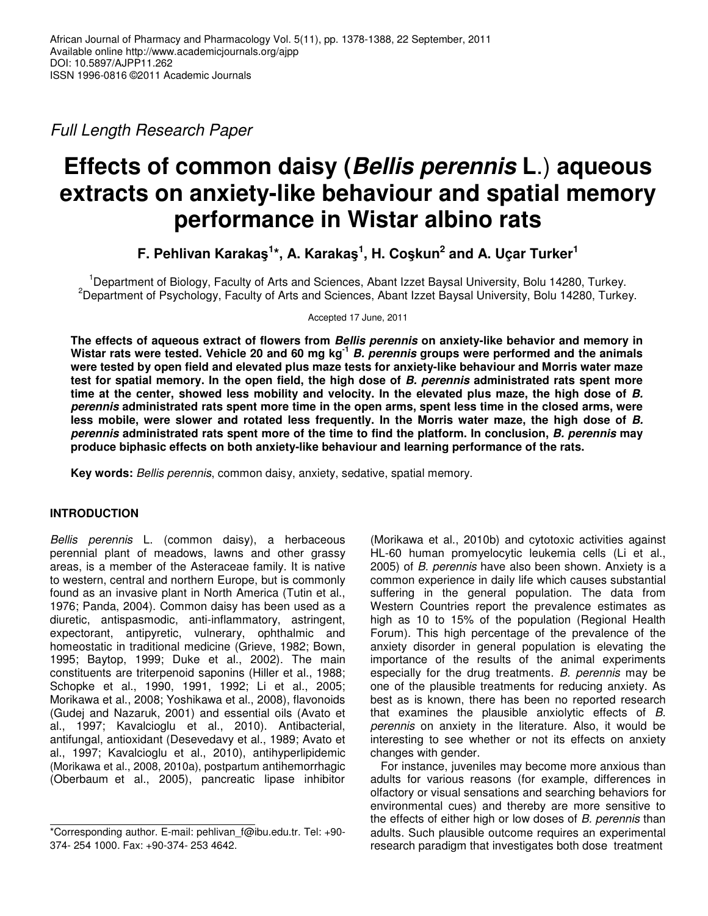*Full Length Research Paper*

# **Effects of common daisy (***Bellis perennis* **L**.) **aqueous extracts on anxiety-like behaviour and spatial memory performance in Wistar albino rats**

**F. Pehlivan Karaka 1 \*, A. Karaka 1 , H. Cokun 2 and A. Uçar Turker 1**

<sup>1</sup>Department of Biology, Faculty of Arts and Sciences, Abant Izzet Baysal University, Bolu 14280, Turkey. <sup>2</sup>Department of Psychology, Faculty of Arts and Sciences, Abant Izzet Baysal University, Bolu 14280, Turkey.

Accepted 17 June, 2011

**The effects of aqueous extract of flowers from** *Bellis perennis* **on anxiety-like behavior and memory in** Wistar rats were tested. Vehicle 20 and 60 mg kg<sup>-1</sup> *B. perennis* groups were performed and the animals **were tested by open field and elevated plus maze tests for anxiety-like behaviour and Morris water maze** test for spatial memory. In the open field, the high dose of B. perennis administrated rats spent more time at the center, showed less mobility and velocity. In the elevated plus maze, the high dose of B. perennis administrated rats spent more time in the open arms, spent less time in the closed arms, were less mobile, were slower and rotated less frequently. In the Morris water maze, the high dose of B. *perennis* **administrated rats spent more of the time to find the platform. In conclusion,** *B. perennis* **may produce biphasic effects on both anxiety-like behaviour and learning performance of the rats.**

**Key words:** *Bellis perennis*, common daisy, anxiety, sedative, spatial memory.

# **INTRODUCTION**

*Bellis perennis* L. (common daisy), a herbaceous perennial plant of meadows, lawns and other grassy areas, is a member of the Asteraceae family. It is native to western, central and northern Europe, but is commonly found as an invasive plant in North America (Tutin et al., 1976; Panda, 2004). Common daisy has been used as a diuretic, antispasmodic, anti-inflammatory, astringent, expectorant, antipyretic, vulnerary, ophthalmic and homeostatic in traditional medicine (Grieve, 1982; Bown, 1995; Baytop, 1999; Duke et al., 2002). The main constituents are triterpenoid saponins (Hiller et al., 1988; Schopke et al., 1990, 1991, 1992; Li et al., 2005; Morikawa et al., 2008; Yoshikawa et al., 2008), flavonoids (Gudej and Nazaruk, 2001) and essential oils (Avato et al., 1997; Kavalcioglu et al., 2010). Antibacterial, antifungal, antioxidant (Desevedavy et al., 1989; Avato et al., 1997; Kavalcioglu et al., 2010), antihyperlipidemic (Morikawa et al., 2008, 2010a), postpartum antihemorrhagic (Oberbaum et al., 2005), pancreatic lipase inhibitor

(Morikawa et al., 2010b) and cytotoxic activities against HL-60 human promyelocytic leukemia cells (Li et al., 2005) of *B. perennis* have also been shown. Anxiety is a common experience in daily life which causes substantial suffering in the general population. The data from Western Countries report the prevalence estimates as high as 10 to 15% of the population (Regional Health Forum). This high percentage of the prevalence of the anxiety disorder in general population is elevating the importance of the results of the animal experiments especially for the drug treatments. *B. perennis* may be one of the plausible treatments for reducing anxiety. As best as is known, there has been no reported research that examines the plausible anxiolytic effects of *B. perennis* on anxiety in the literature. Also, it would be interesting to see whether or not its effects on anxiety changes with gender.

For instance, juveniles may become more anxious than adults for various reasons (for example, differences in olfactory or visual sensations and searching behaviors for environmental cues) and thereby are more sensitive to the effects of either high or low doses of *B. perennis* than adults. Such plausible outcome requires an experimental research paradigm that investigates both dose treatment

<sup>\*</sup>Corresponding author. E-mail: pehlivan\_f@ibu.edu.tr. Tel: +90- 374- 254 1000. Fax: +90-374- 253 4642.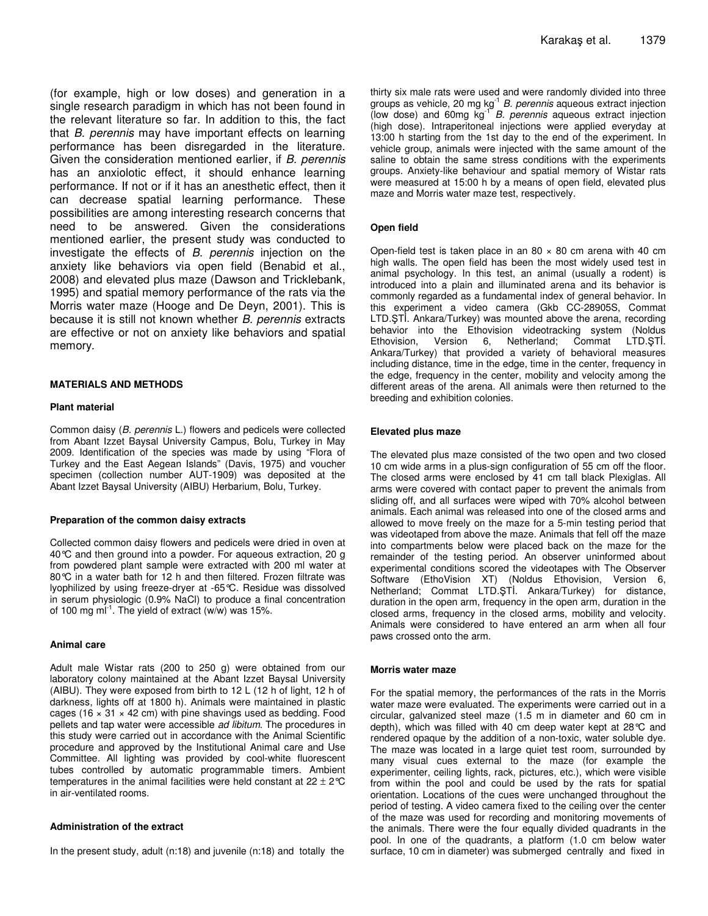(for example, high or low doses) and generation in a single research paradigm in which has not been found in the relevant literature so far. In addition to this, the fact that *B. perennis* may have important effects on learning performance has been disregarded in the literature. Given the consideration mentioned earlier, if *B. perennis* has an anxiolotic effect, it should enhance learning performance. If not or if it has an anesthetic effect, then it can decrease spatial learning performance. These possibilities are among interesting research concerns that need to be answered. Given the considerations mentioned earlier, the present study was conducted to investigate the effects of *B. perennis* injection on the anxiety like behaviors via open field (Benabid et al., 2008) and elevated plus maze (Dawson and Tricklebank, 1995) and spatial memory performance of the rats via the Morris water maze (Hooge and De Deyn, 2001). This is because it is still not known whether *B. perennis* extracts are effective or not on anxiety like behaviors and spatial memory.

#### **MATERIALS AND METHODS**

#### **Plant material**

Common daisy (*B. perennis* L.) flowers and pedicels were collected from Abant Izzet Baysal University Campus, Bolu, Turkey in May 2009. Identification of the species was made by using "Flora of Turkey and the East Aegean Islands" (Davis, 1975) and voucher specimen (collection number AUT-1909) was deposited at the Abant Izzet Baysal University (AIBU) Herbarium, Bolu, Turkey.

#### **Preparation of the common daisy extracts**

Collected common daisy flowers and pedicels were dried in oven at 40°C and then ground into a powder. For aqueous extraction, 20 g from powdered plant sample were extracted with 200 ml water at 80℃ in a water bath for 12 h and then filtered. Frozen filtrate was lyophilized by using freeze-dryer at -65°C. Residue was dissolved in serum physiologic (0.9% NaCl) to produce a final concentration of 100 mg ml<sup>-1</sup>. The yield of extract (w/w) was 15%.

#### **Animal care**

Adult male Wistar rats (200 to 250 g) were obtained from our laboratory colony maintained at the Abant Izzet Baysal University (AIBU). They were exposed from birth to 12 L (12 h of light, 12 h of darkness, lights off at 1800 h). Animals were maintained in plastic cages (16  $\times$  31  $\times$  42 cm) with pine shavings used as bedding. Food pellets and tap water were accessible *ad libitum*. The procedures in this study were carried out in accordance with the Animal Scientific procedure and approved by the Institutional Animal care and Use Committee. All lighting was provided by cool-white fluorescent tubes controlled by automatic programmable timers. Ambient temperatures in the animal facilities were held constant at  $22 \pm 2^{\circ}C$ in air-ventilated rooms.

#### **Administration of the extract**

In the present study, adult (n:18) and juvenile (n:18) and totally the

thirty six male rats were used and were randomly divided into three groups as vehicle, 20 mg kg -1 *B. perennis* aqueous extract injection (low dose) and 60mg kg -1 *B. perennis* aqueous extract injection (high dose). Intraperitoneal injections were applied everyday at 13:00 h starting from the 1st day to the end of the experiment. In vehicle group, animals were injected with the same amount of the saline to obtain the same stress conditions with the experiments groups. Anxiety-like behaviour and spatial memory of Wistar rats were measured at 15:00 h by a means of open field, elevated plus maze and Morris water maze test, respectively.

#### **Open field**

Open-field test is taken place in an 80  $\times$  80 cm arena with 40 cm high walls. The open field has been the most widely used test in animal psychology. In this test, an animal (usually a rodent) is introduced into a plain and illuminated arena and its behavior is commonly regarded as a fundamental index of general behavior. In this experiment a video camera (Gkb CC-28905S, Commat LTD.ŞTİ. Ankara/Turkey) was mounted above the arena, recording behavior into the Ethovision videotracking system (Noldus Ethovision, Version 6, Netherland; Commat LTD.ŞTİ. Ankara/Turkey) that provided a variety of behavioral measures including distance, time in the edge, time in the center, frequency in the edge, frequency in the center, mobility and velocity among the different areas of the arena. All animals were then returned to the breeding and exhibition colonies.

#### **Elevated plus maze**

The elevated plus maze consisted of the two open and two closed 10 cm wide arms in a plus-sign configuration of 55 cm off the floor. The closed arms were enclosed by 41 cm tall black Plexiglas. All arms were covered with contact paper to prevent the animals from sliding off, and all surfaces were wiped with 70% alcohol between animals. Each animal was released into one of the closed arms and allowed to move freely on the maze for a 5-min testing period that was videotaped from above the maze. Animals that fell off the maze into compartments below were placed back on the maze for the remainder of the testing period. An observer uninformed about experimental conditions scored the videotapes with The Observer Software (EthoVision XT) (Noldus Ethovision, Version 6, Netherland; Commat LTD.ŞTİ. Ankara/Turkey) for distance, duration in the open arm, frequency in the open arm, duration in the closed arms, frequency in the closed arms, mobility and velocity. Animals were considered to have entered an arm when all four paws crossed onto the arm.

#### **Morris water maze**

For the spatial memory, the performances of the rats in the Morris water maze were evaluated. The experiments were carried out in a circular, galvanized steel maze (1.5 m in diameter and 60 cm in depth), which was filled with 40 cm deep water kept at 28°C and rendered opaque by the addition of a non-toxic, water soluble dye. The maze was located in a large quiet test room, surrounded by many visual cues external to the maze (for example the experimenter, ceiling lights, rack, pictures, etc.), which were visible from within the pool and could be used by the rats for spatial orientation. Locations of the cues were unchanged throughout the period of testing. A video camera fixed to the ceiling over the center of the maze was used for recording and monitoring movements of the animals. There were the four equally divided quadrants in the pool. In one of the quadrants, a platform (1.0 cm below water surface, 10 cm in diameter) was submerged centrally and fixed in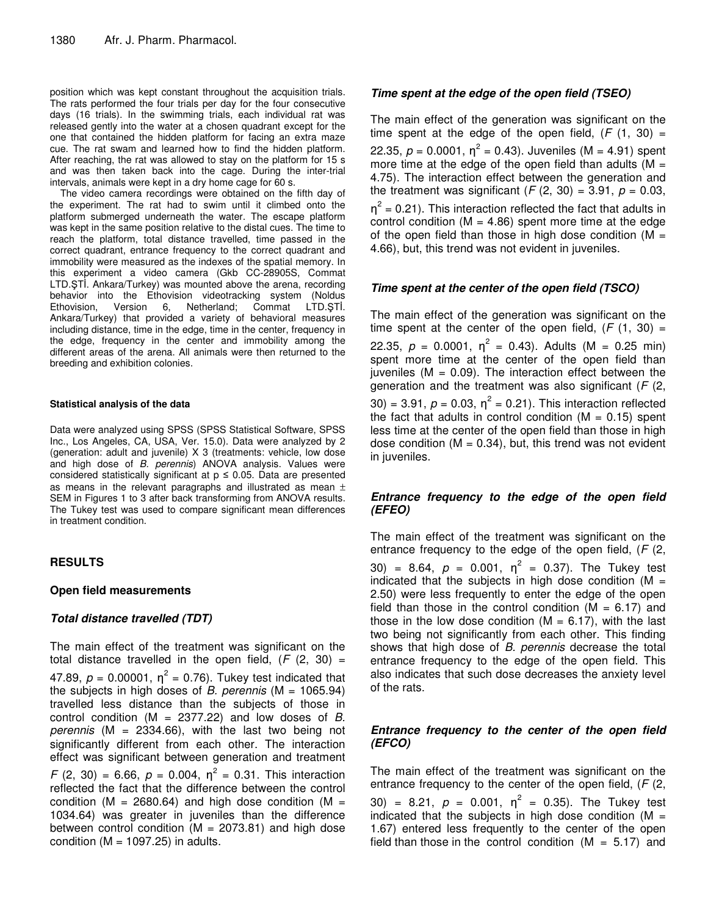position which was kept constant throughout the acquisition trials. The rats performed the four trials per day for the four consecutive days (16 trials). In the swimming trials, each individual rat was released gently into the water at a chosen quadrant except for the one that contained the hidden platform for facing an extra maze cue. The rat swam and learned how to find the hidden platform. After reaching, the rat was allowed to stay on the platform for 15 s and was then taken back into the cage. During the inter-trial intervals, animals were kept in a dry home cage for 60 s.

The video camera recordings were obtained on the fifth day of the experiment. The rat had to swim until it climbed onto the platform submerged underneath the water. The escape platform was kept in the same position relative to the distal cues. The time to reach the platform, total distance travelled, time passed in the correct quadrant, entrance frequency to the correct quadrant and immobility were measured as the indexes of the spatial memory. In this experiment a video camera (Gkb CC-28905S, Commat LTD.ŞTİ. Ankara/Turkey) was mounted above the arena, recording behavior into the Ethovision videotracking system (Noldus Ethovision, Version 6, Netherland; Commat LTD.ŞTİ. Ankara/Turkey) that provided a variety of behavioral measures including distance, time in the edge, time in the center, frequency in the edge, frequency in the center and immobility among the different areas of the arena. All animals were then returned to the breeding and exhibition colonies.

#### **Statistical analysis of the data**

Data were analyzed using SPSS (SPSS Statistical Software, SPSS Inc., Los Angeles, CA, USA, Ver. 15.0). Data were analyzed by 2 (generation: adult and juvenile) X 3 (treatments: vehicle, low dose and high dose of *B. perennis*) ANOVA analysis. Values were considered statistically significant at  $p \le 0.05$ . Data are presented as means in the relevant paragraphs and illustrated as mean  $\pm$ SEM in Figures 1 to 3 after back transforming from ANOVA results. The Tukey test was used to compare significant mean differences in treatment condition.

## **RESULTS**

#### **Open field measurements**

#### *Total distance travelled (TDT)*

The main effect of the treatment was significant on the total distance travelled in the open field,  $(F (2, 30) =$ 47.89,  $p = 0.00001$ ,  $n^2 = 0.76$ ). Tukey test indicated that the subjects in high doses of *B. perennis* (M = 1065.94) travelled less distance than the subjects of those in control condition (M = 2377.22) and low doses of *B. perennis* (M = 2334.66), with the last two being not significantly different from each other. The interaction effect was significant between generation and treatment  $F(2, 30) = 6.66, p = 0.004, n<sup>2</sup> = 0.31$ . This interaction reflected the fact that the difference between the control condition (M = 2680.64) and high dose condition (M = 1034.64) was greater in juveniles than the difference between control condition ( $M = 2073.81$ ) and high dose condition ( $M = 1097.25$ ) in adults.

#### *Time spent at the edge of the open field (TSEO)*

The main effect of the generation was significant on the time spent at the edge of the open field,  $(F (1, 30) =$ 22.35,  $p = 0.0001$ ,  $n^2 = 0.43$ ). Juveniles (M = 4.91) spent more time at the edge of the open field than adults ( $M =$ 4.75). The interaction effect between the generation and the treatment was significant  $(F (2, 30) = 3.91, p = 0.03,$  $n^2$  = 0.21). This interaction reflected the fact that adults in control condition  $(M = 4.86)$  spent more time at the edge of the open field than those in high dose condition ( $M =$ 4.66), but, this trend was not evident in juveniles.

#### *Time spent at the center of the open field (TSCO)*

The main effect of the generation was significant on the time spent at the center of the open field,  $(F (1, 30)) =$ 22.35,  $p = 0.0001$ ,  $n^2 = 0.43$ ). Adults (M = 0.25 min) spent more time at the center of the open field than juveniles ( $M = 0.09$ ). The interaction effect between the generation and the treatment was also significant (*F* (2, 30) = 3.91,  $p = 0.03$ ,  $n^2 = 0.21$ ). This interaction reflected the fact that adults in control condition  $(M = 0.15)$  spent less time at the center of the open field than those in high dose condition ( $M = 0.34$ ), but, this trend was not evident in juveniles.

## *Entrance frequency to the edge of the open field (EFEO)*

The main effect of the treatment was significant on the entrance frequency to the edge of the open field, (*F* (2, 30) = 8.64,  $p = 0.001$ ,  $n^2 = 0.37$ ). The Tukey test indicated that the subjects in high dose condition ( $M =$ 2.50) were less frequently to enter the edge of the open field than those in the control condition ( $M = 6.17$ ) and those in the low dose condition ( $M = 6.17$ ), with the last two being not significantly from each other. This finding shows that high dose of *B. perennis* decrease the total entrance frequency to the edge of the open field. This also indicates that such dose decreases the anxiety level of the rats.

## *Entrance frequency to the center of the open field (EFCO)*

The main effect of the treatment was significant on the entrance frequency to the center of the open field, (*F* (2, 30) = 8.21,  $p = 0.001$ ,  $n^2 = 0.35$ ). The Tukey test indicated that the subjects in high dose condition ( $M =$ 1.67) entered less frequently to the center of the open field than those in the control condition  $(M = 5.17)$  and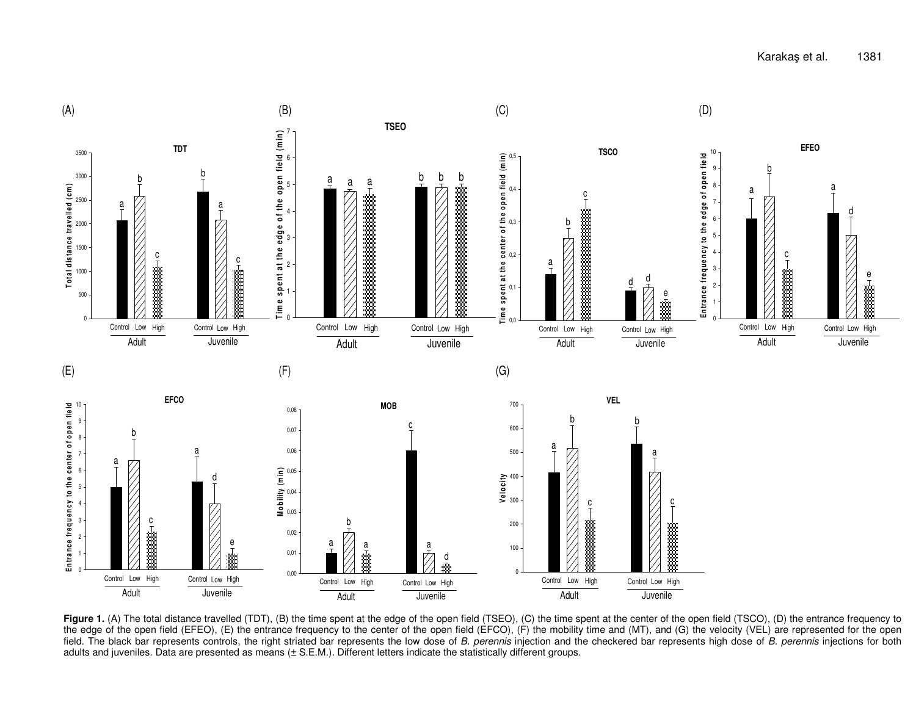

**Figure 1.** (A) The total distance travelled (TDT), (B) the time spent at the edge of the open field (TSEO), (C) the time spent at the center of the open field (TSCO), (D) the entrance frequency to the edge of the open field (EFEO), (E) the entrance frequency to the center of the open field (EFCO), (F) the mobility time and (MT), and (G) the velocity (VEL) are represented for the open field. The black bar represents controls, the right striated bar represents the low dose of *B. perennis* injection and the checkered bar represents high dose of *B. perennis* injections for both adults and juveniles. Data are presented as means (± S.E.M.). Different letters indicate the statistically different groups.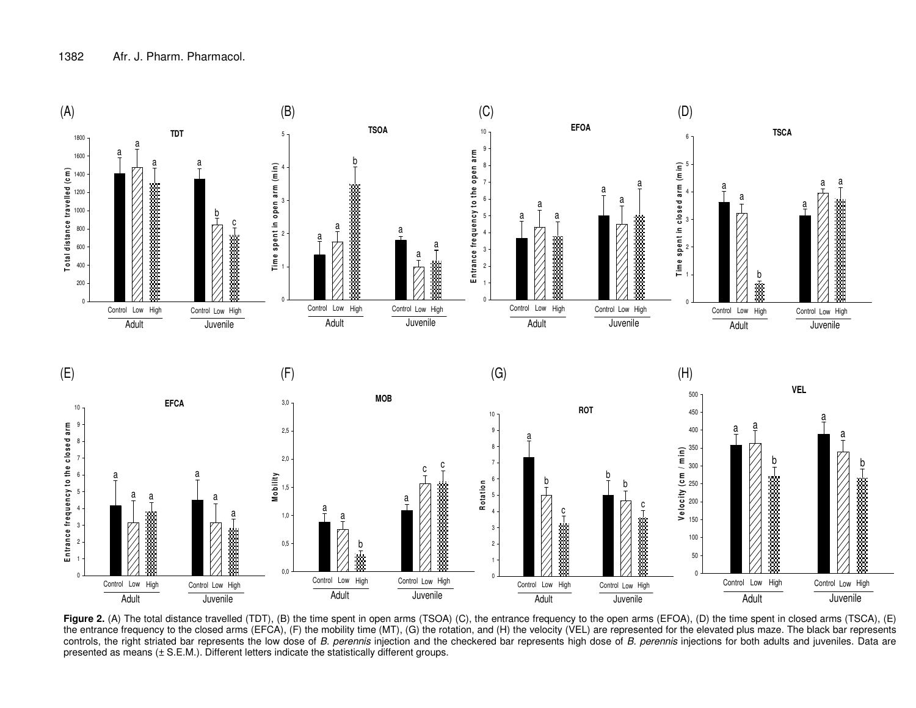

**Figure 2.** (A) The total distance travelled (TDT), (B) the time spent in open arms (TSOA) (C), the entrance frequency to the open arms (EFOA), (D) the time spent in closed arms (TSCA), (E) the entrance frequency to the closed arms (EFCA), (F) the mobility time (MT), (G) the rotation, and (H) the velocity (VEL) are represented for the elevated plus maze. The black bar represents controls, the right striated bar represents the low dose of *B. perennis* injection and the checkered bar represents high dose of *B. perennis* injections for both adults and juveniles. Data are presented as means (± S.E.M.). Different letters indicate the statistically different groups.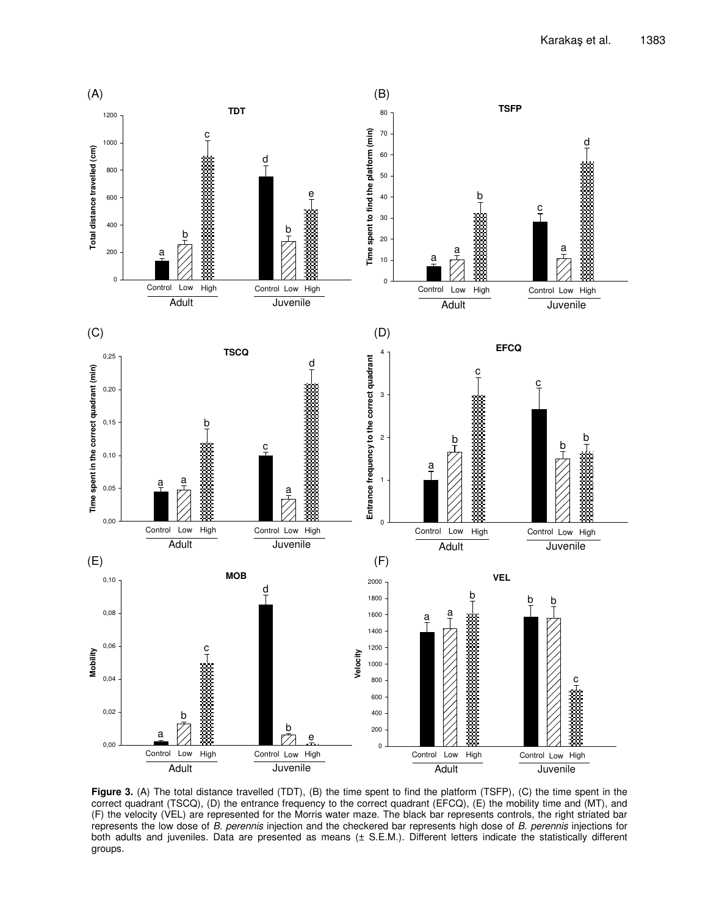

**Figure 3.** (A) The total distance travelled (TDT), (B) the time spent to find the platform (TSFP), (C) the time spent in the correct quadrant (TSCQ), (D) the entrance frequency to the correct quadrant (EFCQ), (E) the mobility time and (MT), and (F) the velocity (VEL) are represented for the Morris water maze. The black bar represents controls, the right striated bar represents the low dose of *B. perennis* injection and the checkered bar represents high dose of *B. perennis* injections for both adults and juveniles. Data are presented as means (± S.E.M.). Different letters indicate the statistically different groups.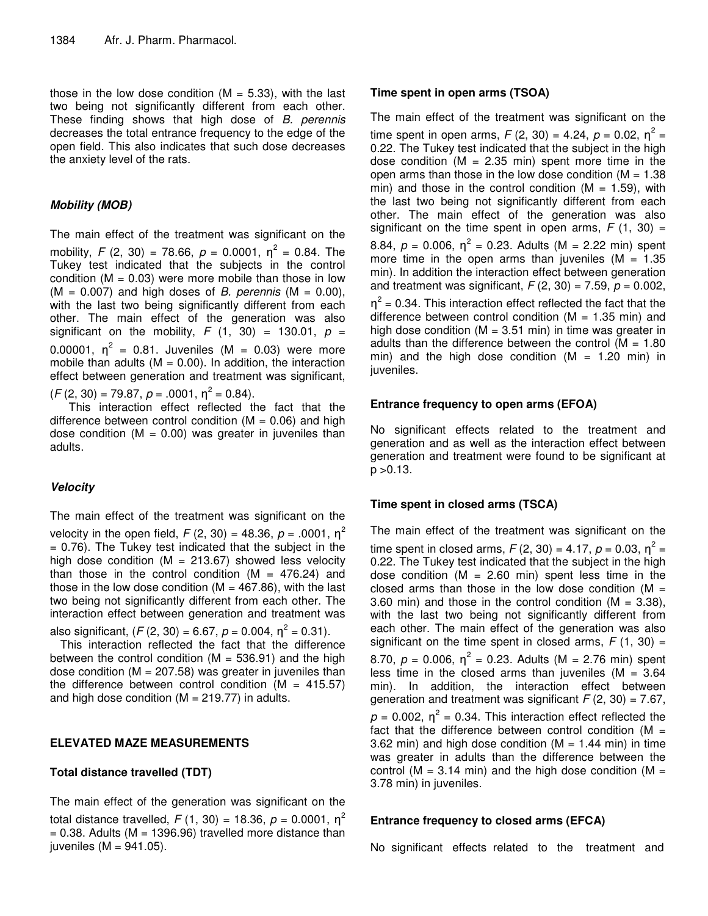those in the low dose condition  $(M = 5.33)$ , with the last two being not significantly different from each other. These finding shows that high dose of *B. perennis* decreases the total entrance frequency to the edge of the open field. This also indicates that such dose decreases the anxiety level of the rats.

# *Mobility (MOB)*

The main effect of the treatment was significant on the mobility,  $F(2, 30) = 78.66$ ,  $p = 0.0001$ ,  $n^2 = 0.84$ . The Tukey test indicated that the subjects in the control condition ( $M = 0.03$ ) were more mobile than those in low  $(M = 0.007)$  and high doses of *B. perennis*  $(M = 0.00)$ , with the last two being significantly different from each other. The main effect of the generation was also significant on the mobility,  $F(1, 30) = 130.01$ ,  $p =$ 0.00001,  $n^2 = 0.81$ . Juveniles (M = 0.03) were more mobile than adults ( $M = 0.00$ ). In addition, the interaction effect between generation and treatment was significant,  $(F(2, 30) = 79.87, p = .0001, n^2 = 0.84).$ 

This interaction effect reflected the fact that the difference between control condition ( $M = 0.06$ ) and high dose condition ( $M = 0.00$ ) was greater in juveniles than adults.

# *Velocity*

The main effect of the treatment was significant on the velocity in the open field,  $F(2, 30) = 48.36, p = .0001, n^2$  $= 0.76$ ). The Tukey test indicated that the subject in the high dose condition ( $M = 213.67$ ) showed less velocity than those in the control condition  $(M = 476.24)$  and those in the low dose condition  $(M = 467.86)$ , with the last two being not significantly different from each other. The interaction effect between generation and treatment was

also significant,  $(F(2, 30) = 6.67, p = 0.004, n^2 = 0.31)$ .

This interaction reflected the fact that the difference between the control condition  $(M = 536.91)$  and the high dose condition  $(M = 207.58)$  was greater in juveniles than the difference between control condition ( $M = 415.57$ ) and high dose condition ( $M = 219.77$ ) in adults.

## **ELEVATED MAZE MEASUREMENTS**

## **Total distance travelled (TDT)**

The main effect of the generation was significant on the total distance travelled,  $F(1, 30)$  = 18.36,  $p$  = 0.0001,  $n^2$  $= 0.38$ . Adults (M  $= 1396.96$ ) travelled more distance than juveniles  $(M = 941.05)$ .

## **Time spent in open arms (TSOA)**

The main effect of the treatment was significant on the time spent in open arms,  $F(2, 30) = 4.24$ ,  $p = 0.02$ ,  $n^2 =$ 0.22. The Tukey test indicated that the subject in the high dose condition ( $M = 2.35$  min) spent more time in the open arms than those in the low dose condition ( $M = 1.38$ ) min) and those in the control condition  $(M = 1.59)$ , with the last two being not significantly different from each other. The main effect of the generation was also significant on the time spent in open arms,  $F(1, 30) =$ 8.84,  $p = 0.006$ ,  $n^2 = 0.23$ . Adults (M = 2.22 min) spent more time in the open arms than juveniles  $(M = 1.35)$ min). In addition the interaction effect between generation and treatment was significant,  $F(2, 30) = 7.59$ ,  $p = 0.002$ ,  $n^2$  = 0.34. This interaction effect reflected the fact that the difference between control condition ( $M = 1.35$  min) and high dose condition ( $M = 3.51$  min) in time was greater in adults than the difference between the control ( $M = 1.80$ min) and the high dose condition ( $M = 1.20$  min) in juveniles.

## **Entrance frequency to open arms (EFOA)**

No significant effects related to the treatment and generation and as well as the interaction effect between generation and treatment were found to be significant at  $p > 0.13$ .

## **Time spent in closed arms (TSCA)**

The main effect of the treatment was significant on the time spent in closed arms,  $F(2, 30) = 4.17$ ,  $p = 0.03$ ,  $n^2 =$ 0.22. The Tukey test indicated that the subject in the high dose condition  $(M = 2.60 \text{ min})$  spent less time in the closed arms than those in the low dose condition ( $M =$ 3.60 min) and those in the control condition  $(M = 3.38)$ , with the last two being not significantly different from each other. The main effect of the generation was also significant on the time spent in closed arms,  $F(1, 30) =$ 8.70,  $p = 0.006$ ,  $n^2 = 0.23$ . Adults (M = 2.76 min) spent less time in the closed arms than juveniles ( $M = 3.64$ ) min). In addition, the interaction effect between generation and treatment was significant  $F(2, 30) = 7.67$ ,  $p = 0.002$ ,  $n^2 = 0.34$ . This interaction effect reflected the fact that the difference between control condition ( $M =$ 3.62 min) and high dose condition ( $M = 1.44$  min) in time was greater in adults than the difference between the control ( $M = 3.14$  min) and the high dose condition ( $M =$ 3.78 min) in juveniles.

#### **Entrance frequency to closed arms (EFCA)**

No significant effects related to the treatment and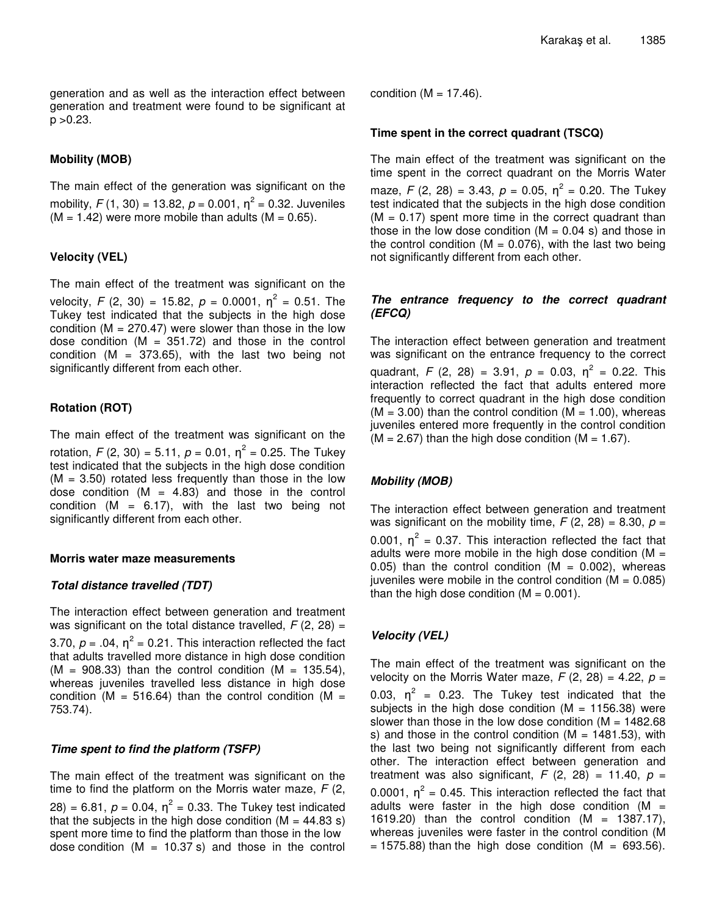generation and as well as the interaction effect between generation and treatment were found to be significant at  $p > 0.23$ .

# **Mobility (MOB)**

The main effect of the generation was significant on the mobility,  $F(1, 30) = 13.82$ ,  $p = 0.001$ ,  $n^2 = 0.32$ . Juveniles  $(M = 1.42)$  were more mobile than adults  $(M = 0.65)$ .

# **Velocity (VEL)**

The main effect of the treatment was significant on the velocity, *F* (2, 30) = 15.82, *p* = 0.0001,  $n^2$  = 0.51. The Tukey test indicated that the subjects in the high dose condition ( $M = 270.47$ ) were slower than those in the low dose condition ( $M = 351.72$ ) and those in the control condition ( $M = 373.65$ ), with the last two being not significantly different from each other.

# **Rotation (ROT)**

The main effect of the treatment was significant on the rotation,  $F(2, 30) = 5.11$ ,  $p = 0.01$ ,  $n^2 = 0.25$ . The Tukey test indicated that the subjects in the high dose condition  $(M = 3.50)$  rotated less frequently than those in the low dose condition ( $M = 4.83$ ) and those in the control condition ( $M = 6.17$ ), with the last two being not significantly different from each other.

## **Morris water maze measurements**

## *Total distance travelled (TDT)*

The interaction effect between generation and treatment was significant on the total distance travelled, *F* (2, 28) = 3.70,  $p = .04$ ,  $n^2 = 0.21$ . This interaction reflected the fact that adults travelled more distance in high dose condition  $(M = 908.33)$  than the control condition  $(M = 135.54)$ , whereas juveniles travelled less distance in high dose condition (M = 516.64) than the control condition (M = 753.74).

## *Time spent to find the platform (TSFP)*

The main effect of the treatment was significant on the time to find the platform on the Morris water maze, *F* (2, 28) = 6.81,  $p = 0.04$ ,  $n^2 = 0.33$ . The Tukey test indicated that the subjects in the high dose condition  $(M = 44.83 s)$ spent more time to find the platform than those in the low dose condition ( $M = 10.37$  s) and those in the control

## condition ( $M = 17.46$ ).

#### **Time spent in the correct quadrant (TSCQ)**

The main effect of the treatment was significant on the time spent in the correct quadrant on the Morris Water maze,  $F(2, 28) = 3.43$ ,  $p = 0.05$ ,  $n^2 = 0.20$ . The Tukey test indicated that the subjects in the high dose condition  $(M = 0.17)$  spent more time in the correct quadrant than those in the low dose condition  $(M = 0.04 s)$  and those in the control condition ( $M = 0.076$ ), with the last two being not significantly different from each other.

## *The entrance frequency to the correct quadrant (EFCQ)*

The interaction effect between generation and treatment was significant on the entrance frequency to the correct quadrant,  $F(2, 28) = 3.91$ ,  $p = 0.03$ ,  $n^2 = 0.22$ . This interaction reflected the fact that adults entered more frequently to correct quadrant in the high dose condition  $(M = 3.00)$  than the control condition  $(M = 1.00)$ , whereas juveniles entered more frequently in the control condition  $(M = 2.67)$  than the high dose condition  $(M = 1.67)$ .

# *Mobility (MOB)*

The interaction effect between generation and treatment was significant on the mobility time,  $F(2, 28) = 8.30$ ,  $p =$ 0.001,  $n^2 = 0.37$ . This interaction reflected the fact that adults were more mobile in the high dose condition ( $M =$ 0.05) than the control condition ( $M = 0.002$ ), whereas juveniles were mobile in the control condition  $(M = 0.085)$ than the high dose condition  $(M = 0.001)$ .

# *Velocity (VEL)*

The main effect of the treatment was significant on the velocity on the Morris Water maze,  $F(2, 28) = 4.22$ ,  $p =$ 0.03,  $n^2$  = 0.23. The Tukey test indicated that the subjects in the high dose condition ( $M = 1156.38$ ) were slower than those in the low dose condition ( $M = 1482.68$ ) s) and those in the control condition  $(M = 1481.53)$ , with the last two being not significantly different from each other. The interaction effect between generation and treatment was also significant,  $F(2, 28) = 11.40$ ,  $p =$ 0.0001,  $n^2$  = 0.45. This interaction reflected the fact that adults were faster in the high dose condition ( $M =$ 1619.20) than the control condition ( $M = 1387.17$ ), whereas juveniles were faster in the control condition (M  $= 1575.88$ ) than the high dose condition (M = 693.56).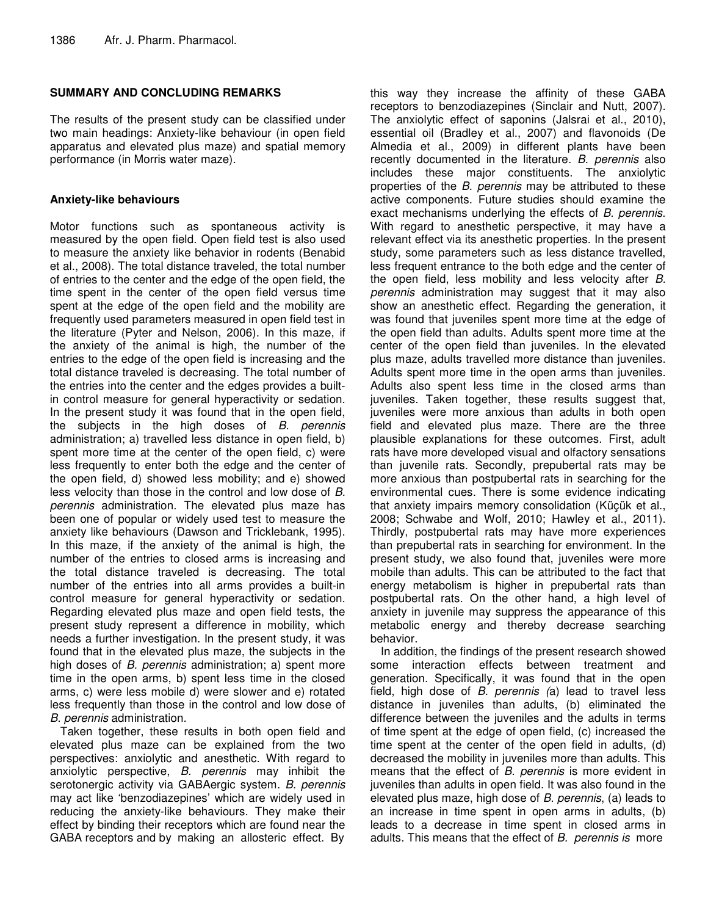# **SUMMARY AND CONCLUDING REMARKS**

The results of the present study can be classified under two main headings: Anxiety-like behaviour (in open field apparatus and elevated plus maze) and spatial memory performance (in Morris water maze).

# **Anxiety-like behaviours**

Motor functions such as spontaneous activity is measured by the open field. Open field test is also used to measure the anxiety like behavior in rodents (Benabid et al., 2008). The total distance traveled, the total number of entries to the center and the edge of the open field, the time spent in the center of the open field versus time spent at the edge of the open field and the mobility are frequently used parameters measured in open field test in the literature (Pyter and Nelson, 2006). In this maze, if the anxiety of the animal is high, the number of the entries to the edge of the open field is increasing and the total distance traveled is decreasing. The total number of the entries into the center and the edges provides a builtin control measure for general hyperactivity or sedation. In the present study it was found that in the open field, the subjects in the high doses of *B. perennis* administration; a) travelled less distance in open field, b) spent more time at the center of the open field, c) were less frequently to enter both the edge and the center of the open field, d) showed less mobility; and e) showed less velocity than those in the control and low dose of *B. perennis* administration. The elevated plus maze has been one of popular or widely used test to measure the anxiety like behaviours (Dawson and Tricklebank, 1995). In this maze, if the anxiety of the animal is high, the number of the entries to closed arms is increasing and the total distance traveled is decreasing. The total number of the entries into all arms provides a built-in control measure for general hyperactivity or sedation. Regarding elevated plus maze and open field tests, the present study represent a difference in mobility, which needs a further investigation. In the present study, it was found that in the elevated plus maze, the subjects in the high doses of *B. perennis* administration; a) spent more time in the open arms, b) spent less time in the closed arms, c) were less mobile d) were slower and e) rotated less frequently than those in the control and low dose of *B. perennis* administration.

Taken together, these results in both open field and elevated plus maze can be explained from the two perspectives: anxiolytic and anesthetic. With regard to anxiolytic perspective, *B. perennis* may inhibit the serotonergic activity via GABAergic system. *B. perennis* may act like 'benzodiazepines' which are widely used in reducing the anxiety-like behaviours. They make their effect by binding their receptors which are found near the GABA receptors and by making an allosteric effect. By

this way they increase the affinity of these GABA receptors to benzodiazepines (Sinclair and Nutt, 2007). The anxiolytic effect of saponins (Jalsrai et al., 2010), essential oil (Bradley et al., 2007) and flavonoids (De Almedia et al., 2009) in different plants have been recently documented in the literature. *B. perennis* also includes these major constituents. The anxiolytic properties of the *B. perennis* may be attributed to these active components. Future studies should examine the exact mechanisms underlying the effects of *B. perennis*. With regard to anesthetic perspective, it may have a relevant effect via its anesthetic properties. In the present study, some parameters such as less distance travelled, less frequent entrance to the both edge and the center of the open field, less mobility and less velocity after *B. perennis* administration may suggest that it may also show an anesthetic effect. Regarding the generation, it was found that juveniles spent more time at the edge of the open field than adults. Adults spent more time at the center of the open field than juveniles. In the elevated plus maze, adults travelled more distance than juveniles. Adults spent more time in the open arms than juveniles. Adults also spent less time in the closed arms than juveniles. Taken together, these results suggest that, juveniles were more anxious than adults in both open field and elevated plus maze. There are the three plausible explanations for these outcomes. First, adult rats have more developed visual and olfactory sensations than juvenile rats. Secondly, prepubertal rats may be more anxious than postpubertal rats in searching for the environmental cues. There is some evidence indicating that anxiety impairs memory consolidation (Küçük et al., 2008; Schwabe and Wolf, 2010; Hawley et al., 2011). Thirdly, postpubertal rats may have more experiences than prepubertal rats in searching for environment. In the present study, we also found that, juveniles were more mobile than adults. This can be attributed to the fact that energy metabolism is higher in prepubertal rats than postpubertal rats. On the other hand, a high level of anxiety in juvenile may suppress the appearance of this metabolic energy and thereby decrease searching behavior.

In addition, the findings of the present research showed some interaction effects between treatment and generation. Specifically, it was found that in the open field, high dose of *B. perennis (*a) lead to travel less distance in juveniles than adults, (b) eliminated the difference between the juveniles and the adults in terms of time spent at the edge of open field, (c) increased the time spent at the center of the open field in adults, (d) decreased the mobility in juveniles more than adults. This means that the effect of *B. perennis* is more evident in juveniles than adults in open field. It was also found in the elevated plus maze, high dose of *B. perennis*, (a) leads to an increase in time spent in open arms in adults, (b) leads to a decrease in time spent in closed arms in adults. This means that the effect of *B. perennis is* more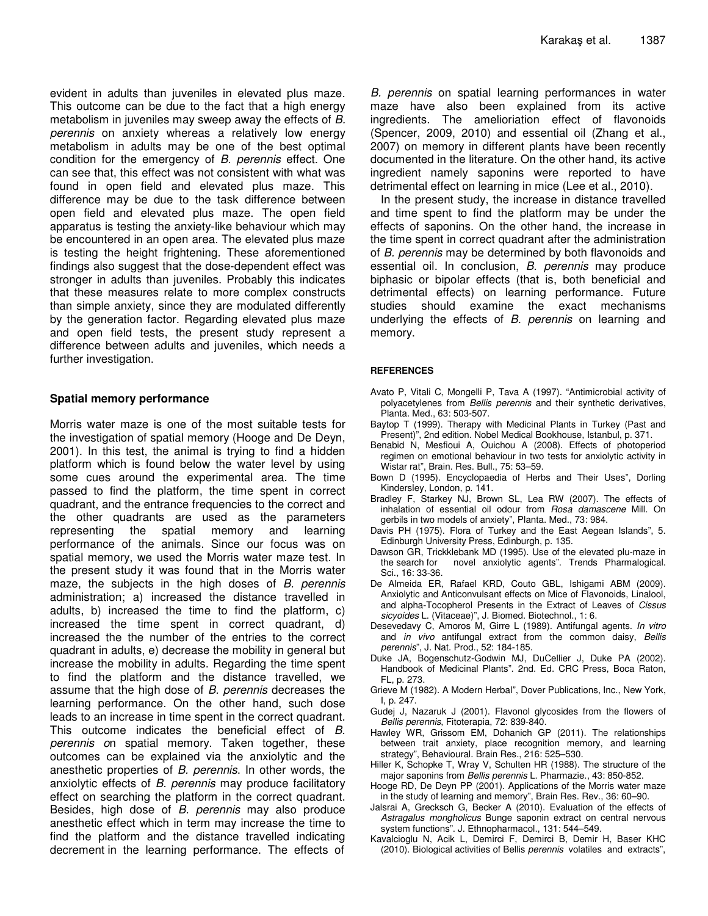evident in adults than juveniles in elevated plus maze. This outcome can be due to the fact that a high energy metabolism in juveniles may sweep away the effects of *B. perennis* on anxiety whereas a relatively low energy metabolism in adults may be one of the best optimal condition for the emergency of *B. perennis* effect. One can see that, this effect was not consistent with what was found in open field and elevated plus maze. This difference may be due to the task difference between open field and elevated plus maze. The open field apparatus is testing the anxiety-like behaviour which may be encountered in an open area. The elevated plus maze is testing the height frightening. These aforementioned findings also suggest that the dose-dependent effect was stronger in adults than juveniles. Probably this indicates that these measures relate to more complex constructs than simple anxiety, since they are modulated differently by the generation factor. Regarding elevated plus maze and open field tests, the present study represent a difference between adults and juveniles, which needs a further investigation.

#### **Spatial memory performance**

Morris water maze is one of the most suitable tests for the investigation of spatial memory (Hooge and De Deyn, 2001). In this test, the animal is trying to find a hidden platform which is found below the water level by using some cues around the experimental area. The time passed to find the platform, the time spent in correct quadrant, and the entrance frequencies to the correct and the other quadrants are used as the parameters representing the spatial memory and learning performance of the animals. Since our focus was on spatial memory, we used the Morris water maze test. In the present study it was found that in the Morris water maze, the subjects in the high doses of *B. perennis* administration; a) increased the distance travelled in adults, b) increased the time to find the platform, c) increased the time spent in correct quadrant, d) increased the the number of the entries to the correct quadrant in adults, e) decrease the mobility in general but increase the mobility in adults. Regarding the time spent to find the platform and the distance travelled, we assume that the high dose of *B. perennis* decreases the learning performance. On the other hand, such dose leads to an increase in time spent in the correct quadrant. This outcome indicates the beneficial effect of *B. perennis o*n spatial memory. Taken together, these outcomes can be explained via the anxiolytic and the anesthetic properties of *B. perennis*. In other words, the anxiolytic effects of *B. perennis* may produce facilitatory effect on searching the platform in the correct quadrant. Besides, high dose of *B. perennis* may also produce anesthetic effect which in term may increase the time to find the platform and the distance travelled indicating decrement in the learning performance. The effects of *B. perennis* on spatial learning performances in water maze have also been explained from its active ingredients. The amelioriation effect of flavonoids (Spencer, 2009, 2010) and essential oil (Zhang et al., 2007) on memory in different plants have been recently documented in the literature. On the other hand, its active ingredient namely saponins were reported to have detrimental effect on learning in mice (Lee et al., 2010).

In the present study, the increase in distance travelled and time spent to find the platform may be under the effects of saponins. On the other hand, the increase in the time spent in correct quadrant after the administration of *B. perennis* may be determined by both flavonoids and essential oil. In conclusion, *B. perennis* may produce biphasic or bipolar effects (that is, both beneficial and detrimental effects) on learning performance. Future studies should examine the exact mechanisms underlying the effects of *B. perennis* on learning and memory.

#### **REFERENCES**

- Avato P, Vitali C, Mongelli P, Tava A (1997). "Antimicrobial activity of polyacetylenes from *Bellis perennis* and their synthetic derivatives, Planta. Med., 63: 503-507.
- Baytop T (1999). Therapy with Medicinal Plants in Turkey (Past and Present)", 2nd edition. Nobel Medical Bookhouse, Istanbul, p. 371.
- Benabid N, Mesfioui A, Ouichou A (2008). Effects of photoperiod regimen on emotional behaviour in two tests for anxiolytic activity in Wistar rat", Brain. Res. Bull., 75: 53–59.
- Bown D (1995). Encyclopaedia of Herbs and Their Uses", Dorling Kindersley, London, p. 141.
- Bradley F, Starkey NJ, Brown SL, Lea RW (2007). The effects of inhalation of essential oil odour from *Rosa damascene* Mill. On gerbils in two models of anxiety", Planta. Med., 73: 984.
- Davis PH (1975). Flora of Turkey and the East Aegean Islands", 5. Edinburgh University Press, Edinburgh, p. 135.
- Dawson GR, Trickklebank MD (1995). Use of the elevated plu-maze in the search for novel anxiolytic agents". Trends Pharmalogical. Sci., 16: 33-36.
- De Almeida ER, Rafael KRD, Couto GBL, Ishigami ABM (2009). Anxiolytic and Anticonvulsant effects on Mice of Flavonoids, Linalool, and alpha-Tocopherol Presents in the Extract of Leaves of *Cissus sicyoides* L. (Vitaceae)", J. Biomed. Biotechnol., 1: 6.
- Desevedavy C, Amoros M, Girre L (1989). Antifungal agents. *In vitro* and *in vivo* antifungal extract from the common daisy, *Bellis perennis*", J. Nat. Prod., 52: 184-185.
- Duke JA, Bogenschutz-Godwin MJ, DuCellier J, Duke PA (2002). Handbook of Medicinal Plants". 2nd. Ed. CRC Press, Boca Raton, FL, p. 273.
- Grieve M (1982). A Modern Herbal", Dover Publications, Inc., New York, I, p. 247.
- Gudej J, Nazaruk J (2001). Flavonol glycosides from the flowers of *Bellis perennis*, Fitoterapia, 72: 839-840.
- Hawley WR, Grissom EM, Dohanich GP (2011). The relationships between trait anxiety, place recognition memory, and learning strategy", Behavioural. Brain Res., 216: 525–530.
- Hiller K, Schopke T, Wray V, Schulten HR (1988). The structure of the major saponins from *Bellis perennis* L. Pharmazie., 43: 850-852.
- Hooge RD, De Deyn PP (2001). Applications of the Morris water maze in the study of learning and memory", Brain Res. Rev., 36: 60–90.
- Jalsrai A, Grecksch G, Becker A (2010). Evaluation of the effects of *Astragalus mongholicus* Bunge saponin extract on central nervous system functions". J. Ethnopharmacol., 131: 544–549.
- Kavalcioglu N, Acik L, Demirci F, Demirci B, Demir H, Baser KHC (2010). Biological activities of Bellis *perennis* volatiles and extracts",